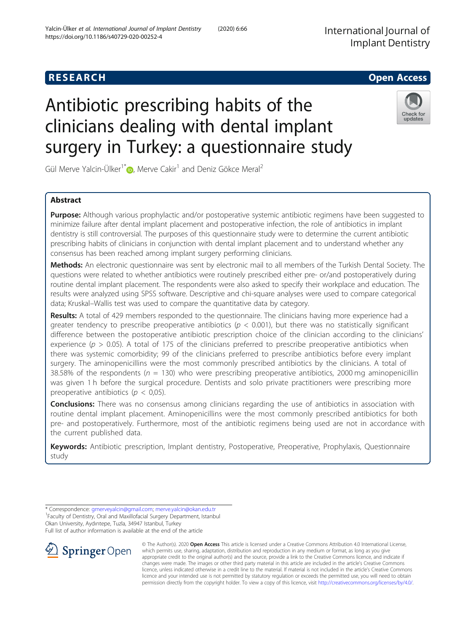# Antibiotic prescribing habits of the clinicians dealing with dental implant surgery in Turkey: a questionnaire study

Gül Merve Yalcin-Ülker<sup>1[\\*](http://orcid.org/0000-0002-7438-5834)</sup> , Merve Cakir<sup>1</sup> and Deniz Gökce Meral<sup>2</sup>

# Abstract

Purpose: Although various prophylactic and/or postoperative systemic antibiotic regimens have been suggested to minimize failure after dental implant placement and postoperative infection, the role of antibiotics in implant dentistry is still controversial. The purposes of this questionnaire study were to determine the current antibiotic prescribing habits of clinicians in conjunction with dental implant placement and to understand whether any consensus has been reached among implant surgery performing clinicians.

Methods: An electronic questionnaire was sent by electronic mail to all members of the Turkish Dental Society. The questions were related to whether antibiotics were routinely prescribed either pre- or/and postoperatively during routine dental implant placement. The respondents were also asked to specify their workplace and education. The results were analyzed using SPSS software. Descriptive and chi-square analyses were used to compare categorical data; Kruskal–Wallis test was used to compare the quantitative data by category.

Results: A total of 429 members responded to the questionnaire. The clinicians having more experience had a greater tendency to prescribe preoperative antibiotics ( $p < 0.001$ ), but there was no statistically significant difference between the postoperative antibiotic prescription choice of the clinician according to the clinicians' experience ( $p > 0.05$ ). A total of 175 of the clinicians preferred to prescribe preoperative antibiotics when there was systemic comorbidity; 99 of the clinicians preferred to prescribe antibiotics before every implant surgery. The aminopenicillins were the most commonly prescribed antibiotics by the clinicians. A total of 38.58% of the respondents ( $n = 130$ ) who were prescribing preoperative antibiotics, 2000 mg aminopenicillin was given 1 h before the surgical procedure. Dentists and solo private practitioners were prescribing more preoperative antibiotics ( $p < 0.05$ ).

**Conclusions:** There was no consensus among clinicians regarding the use of antibiotics in association with routine dental implant placement. Aminopenicillins were the most commonly prescribed antibiotics for both pre- and postoperatively. Furthermore, most of the antibiotic regimens being used are not in accordance with the current published data.

Keywords: Antibiotic prescription, Implant dentistry, Postoperative, Preoperative, Prophylaxis, Questionnaire study

\* Correspondence: [gmerveyalcin@gmail.com](mailto:gmerveyalcin@gmail.com); [merve.yalcin@okan.edu.tr](mailto:merve.yalcin@okan.edu.tr) <sup>1</sup> <sup>1</sup> Faculty of Dentistry, Oral and Maxillofacial Surgery Department, Istanbul Okan University, Aydıntepe, Tuzla, 34947 Istanbul, Turkey

Full list of author information is available at the end of the article



permission directly from the copyright holder. To view a copy of this licence, visit <http://creativecommons.org/licenses/by/4.0/>.



Check for updates

**RESEARCH CHILD CONTROL** CONTROL CONTROL CONTROL CONTROL CONTROL CONTROL CONTROL CONTROL CONTROL CONTROL CONTROL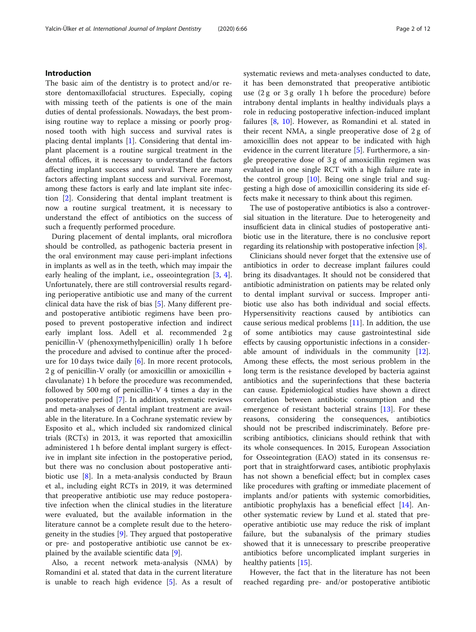# Introduction

The basic aim of the dentistry is to protect and/or restore dentomaxillofacial structures. Especially, coping with missing teeth of the patients is one of the main duties of dental professionals. Nowadays, the best promising routine way to replace a missing or poorly prognosed tooth with high success and survival rates is placing dental implants [[1](#page-10-0)]. Considering that dental implant placement is a routine surgical treatment in the dental offices, it is necessary to understand the factors affecting implant success and survival. There are many factors affecting implant success and survival. Foremost, among these factors is early and late implant site infection [\[2](#page-10-0)]. Considering that dental implant treatment is now a routine surgical treatment, it is necessary to understand the effect of antibiotics on the success of such a frequently performed procedure.

During placement of dental implants, oral microflora should be controlled, as pathogenic bacteria present in the oral environment may cause peri-implant infections in implants as well as in the teeth, which may impair the early healing of the implant, i.e., osseointegration [[3](#page-10-0), [4](#page-10-0)]. Unfortunately, there are still controversial results regarding perioperative antibiotic use and many of the current clinical data have the risk of bias [[5\]](#page-10-0). Many different preand postoperative antibiotic regimens have been proposed to prevent postoperative infection and indirect early implant loss. Adell et al. recommended 2 g penicillin-V (phenoxymethylpenicillin) orally 1 h before the procedure and advised to continue after the procedure for 10 days twice daily [\[6](#page-10-0)]. In more recent protocols, 2 g of penicillin-V orally (or amoxicillin or amoxicillin + clavulanate) 1 h before the procedure was recommended, followed by 500 mg of penicillin-V 4 times a day in the postoperative period [\[7](#page-10-0)]. In addition, systematic reviews and meta-analyses of dental implant treatment are available in the literature. In a Cochrane systematic review by Esposito et al., which included six randomized clinical trials (RCTs) in 2013, it was reported that amoxicillin administered 1 h before dental implant surgery is effective in implant site infection in the postoperative period, but there was no conclusion about postoperative antibiotic use [\[8\]](#page-10-0). In a meta-analysis conducted by Braun et al., including eight RCTs in 2019, it was determined that preoperative antibiotic use may reduce postoperative infection when the clinical studies in the literature were evaluated, but the available information in the literature cannot be a complete result due to the heterogeneity in the studies [[9](#page-10-0)]. They argued that postoperative or pre- and postoperative antibiotic use cannot be explained by the available scientific data [[9\]](#page-10-0).

Also, a recent network meta-analysis (NMA) by Romandini et al. stated that data in the current literature is unable to reach high evidence [\[5](#page-10-0)]. As a result of systematic reviews and meta-analyses conducted to date, it has been demonstrated that preoperative antibiotic use  $(2 g \text{ or } 3 g \text{ orally } 1 h \text{ before the procedure})$  before intrabony dental implants in healthy individuals plays a role in reducing postoperative infection-induced implant failures [[8,](#page-10-0) [10\]](#page-10-0). However, as Romandini et al. stated in their recent NMA, a single preoperative dose of 2 g of amoxicillin does not appear to be indicated with high evidence in the current literature [[5\]](#page-10-0). Furthermore, a single preoperative dose of 3 g of amoxicillin regimen was evaluated in one single RCT with a high failure rate in the control group [\[10](#page-10-0)]. Being one single trial and suggesting a high dose of amoxicillin considering its side effects make it necessary to think about this regimen.

The use of postoperative antibiotics is also a controversial situation in the literature. Due to heterogeneity and insufficient data in clinical studies of postoperative antibiotic use in the literature, there is no conclusive report regarding its relationship with postoperative infection [\[8\]](#page-10-0).

Clinicians should never forget that the extensive use of antibiotics in order to decrease implant failures could bring its disadvantages. It should not be considered that antibiotic administration on patients may be related only to dental implant survival or success. Improper antibiotic use also has both individual and social effects. Hypersensitivity reactions caused by antibiotics can cause serious medical problems [[11](#page-10-0)]. In addition, the use of some antibiotics may cause gastrointestinal side effects by causing opportunistic infections in a considerable amount of individuals in the community [\[12](#page-10-0)]. Among these effects, the most serious problem in the long term is the resistance developed by bacteria against antibiotics and the superinfections that these bacteria can cause. Epidemiological studies have shown a direct correlation between antibiotic consumption and the emergence of resistant bacterial strains [\[13\]](#page-10-0). For these reasons, considering the consequences, antibiotics should not be prescribed indiscriminately. Before prescribing antibiotics, clinicians should rethink that with its whole consequences. In 2015, European Association for Osseointegration (EAO) stated in its consensus report that in straightforward cases, antibiotic prophylaxis has not shown a beneficial effect; but in complex cases like procedures with grafting or immediate placement of implants and/or patients with systemic comorbidities, antibiotic prophylaxis has a beneficial effect [\[14](#page-10-0)]. Another systematic review by Lund et al. stated that preoperative antibiotic use may reduce the risk of implant failure, but the subanalysis of the primary studies showed that it is unnecessary to prescribe preoperative antibiotics before uncomplicated implant surgeries in healthy patients [\[15](#page-10-0)].

However, the fact that in the literature has not been reached regarding pre- and/or postoperative antibiotic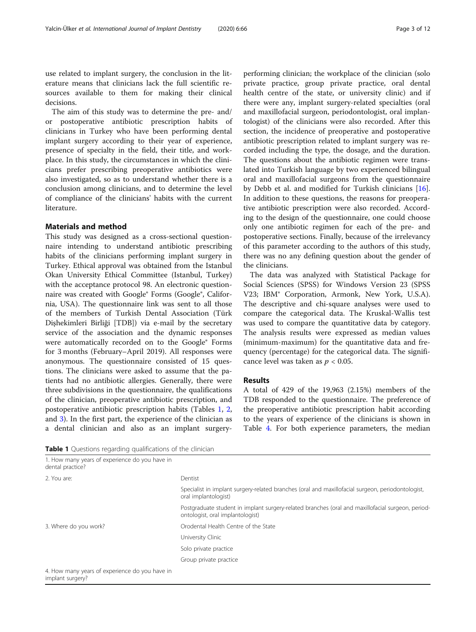use related to implant surgery, the conclusion in the literature means that clinicians lack the full scientific resources available to them for making their clinical decisions.

The aim of this study was to determine the pre- and/ or postoperative antibiotic prescription habits of clinicians in Turkey who have been performing dental implant surgery according to their year of experience, presence of specialty in the field, their title, and workplace. In this study, the circumstances in which the clinicians prefer prescribing preoperative antibiotics were also investigated, so as to understand whether there is a conclusion among clinicians, and to determine the level of compliance of the clinicians' habits with the current literature.

# Materials and method

This study was designed as a cross-sectional questionnaire intending to understand antibiotic prescribing habits of the clinicians performing implant surgery in Turkey. Ethical approval was obtained from the Istanbul Okan University Ethical Committee (Istanbul, Turkey) with the acceptance protocol 98. An electronic questionnaire was created with Google® Forms (Google®, California, USA). The questionnaire link was sent to all those of the members of Turkish Dental Association (Türk Dişhekimleri Birliği [TDB]) via e-mail by the secretary service of the association and the dynamic responses were automatically recorded on to the Google® Forms for 3 months (February–April 2019). All responses were anonymous. The questionnaire consisted of 15 questions. The clinicians were asked to assume that the patients had no antibiotic allergies. Generally, there were three subdivisions in the questionnaire, the qualifications of the clinician, preoperative antibiotic prescription, and postoperative antibiotic prescription habits (Tables 1, [2](#page-3-0), and [3\)](#page-4-0). In the first part, the experience of the clinician as a dental clinician and also as an implant surgeryperforming clinician; the workplace of the clinician (solo private practice, group private practice, oral dental health centre of the state, or university clinic) and if there were any, implant surgery-related specialties (oral and maxillofacial surgeon, periodontologist, oral implantologist) of the clinicians were also recorded. After this section, the incidence of preoperative and postoperative antibiotic prescription related to implant surgery was recorded including the type, the dosage, and the duration. The questions about the antibiotic regimen were translated into Turkish language by two experienced bilingual oral and maxillofacial surgeons from the questionnaire by Debb et al. and modified for Turkish clinicians [\[16](#page-10-0)]. In addition to these questions, the reasons for preoperative antibiotic prescription were also recorded. According to the design of the questionnaire, one could choose only one antibiotic regimen for each of the pre- and postoperative sections. Finally, because of the irrelevancy of this parameter according to the authors of this study, there was no any defining question about the gender of the clinicians.

The data was analyzed with Statistical Package for Social Sciences (SPSS) for Windows Version 23 (SPSS V23; IBM® Corporation, Armonk, New York, U.S.A). The descriptive and chi-square analyses were used to compare the categorical data. The Kruskal-Wallis test was used to compare the quantitative data by category. The analysis results were expressed as median values (minimum-maximum) for the quantitative data and frequency (percentage) for the categorical data. The significance level was taken as  $p < 0.05$ .

### Results

A total of 429 of the 19,963 (2.15%) members of the TDB responded to the questionnaire. The preference of the preoperative antibiotic prescription habit according to the years of experience of the clinicians is shown in Table [4.](#page-4-0) For both experience parameters, the median

Table 1 Ouestions regarding qualifications of the clinician

| 1. How many years of experience do you have in<br>dental practice? |                                                                                                                                       |
|--------------------------------------------------------------------|---------------------------------------------------------------------------------------------------------------------------------------|
| 2. You are:                                                        | Dentist                                                                                                                               |
|                                                                    | Specialist in implant surgery-related branches (oral and maxillofacial surgeon, periodontologist,<br>oral implantologist)             |
|                                                                    | Postgraduate student in implant surgery-related branches (oral and maxillofacial surgeon, period-<br>ontologist, oral implantologist) |
| 3. Where do you work?                                              | Orodental Health Centre of the State                                                                                                  |
|                                                                    | University Clinic                                                                                                                     |
|                                                                    | Solo private practice                                                                                                                 |
|                                                                    | Group private practice                                                                                                                |
| 4. How many years of experience do you have in<br>implant surgery? |                                                                                                                                       |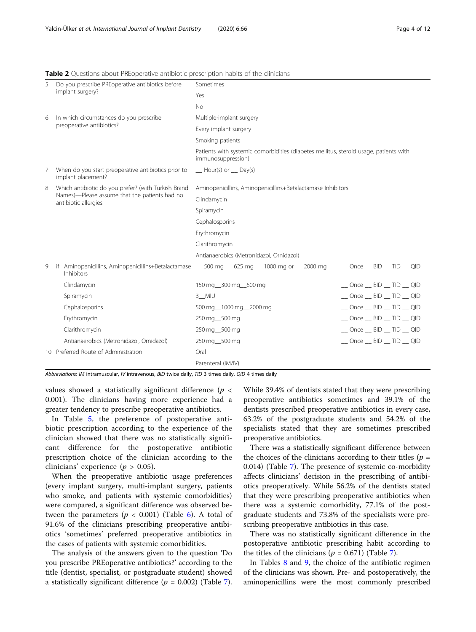| 5 | Do you prescribe PREoperative antibiotics before                          | Sometimes                                                                                                   |                                          |  |  |  |
|---|---------------------------------------------------------------------------|-------------------------------------------------------------------------------------------------------------|------------------------------------------|--|--|--|
|   | implant surgery?                                                          | Yes.                                                                                                        |                                          |  |  |  |
|   |                                                                           | <b>No</b>                                                                                                   |                                          |  |  |  |
| 6 | In which circumstances do you prescribe                                   | Multiple-implant surgery                                                                                    |                                          |  |  |  |
|   | preoperative antibiotics?                                                 | Every implant surgery                                                                                       |                                          |  |  |  |
|   |                                                                           | Smoking patients                                                                                            |                                          |  |  |  |
|   |                                                                           | Patients with systemic comorbidities (diabetes mellitus, steroid usage, patients with<br>immunosuppression) |                                          |  |  |  |
| 7 | When do you start preoperative antibiotics prior to<br>implant placement? | $\rangle$ Hour(s) or $\rangle$ Day(s)                                                                       |                                          |  |  |  |
| 8 | Which antibiotic do you prefer? (with Turkish Brand                       | Aminopenicillins, Aminopenicillins+Betalactamase Inhibitors                                                 |                                          |  |  |  |
|   | Names)-Please assume that the patients had no<br>antibiotic allergies.    | Clindamycin                                                                                                 |                                          |  |  |  |
|   |                                                                           | Spiramycin                                                                                                  |                                          |  |  |  |
|   |                                                                           | Cephalosporins                                                                                              |                                          |  |  |  |
|   |                                                                           | Erythromycin                                                                                                |                                          |  |  |  |
|   |                                                                           | Clarithromycin                                                                                              |                                          |  |  |  |
|   |                                                                           | Antianaerobics (Metronidazol, Ornidazol)                                                                    |                                          |  |  |  |
| 9 | <b>Inhibitors</b>                                                         | if Aminopenicillins, Aminopenicillins+Betalactamase __ 500 mg __ 625 mg __ 1000 mg or __ 2000 mg            | $\_\$ Once $\_\$ BID $\_\$ TID $\_\$ QID |  |  |  |
|   | Clindamycin                                                               | 150 mg 300 mg 600 mg                                                                                        | $\_\$ Once $\_\$ BID $\_\$ TID $\_\$ QID |  |  |  |
|   | Spiramycin                                                                | 3 MIU                                                                                                       | $\_\$ Once $\_\$ BID $\_\$ TID $\_\$ QID |  |  |  |
|   | Cephalosporins                                                            | 500 mg 1000 mg 2000 mg                                                                                      | $\_\$ Once $\_\$ BID $\_\$ TID $\_\$ QID |  |  |  |
|   | Erythromycin                                                              | 250 mg 500 mg                                                                                               | $\_\$ Once $\_\$ BID $\_\$ TID $\_\$ QID |  |  |  |
|   | Clarithromycin                                                            | 250 mg 500 mg                                                                                               | $\_\$ Once $\_\$ BID $\_\$ TID $\_\$ QID |  |  |  |
|   | Antianaerobics (Metronidazol, Ornidazol)                                  | 250 mg 500 mg                                                                                               | $\_\$ Once $\_\$ BID $\_\$ TID $\_\$ QID |  |  |  |
|   | 10 Preferred Route of Administration                                      | Oral                                                                                                        |                                          |  |  |  |
|   |                                                                           | Parenteral (IM/IV)                                                                                          |                                          |  |  |  |

<span id="page-3-0"></span>

|  |  |  | Table 2 Questions about PREoperative antibiotic prescription habits of the clinicians |  |
|--|--|--|---------------------------------------------------------------------------------------|--|

Abbreviations: IM intramuscular, IV intravenous, BID twice daily, TID 3 times daily, QID 4 times daily

values showed a statistically significant difference ( $p <$ 0.001). The clinicians having more experience had a greater tendency to prescribe preoperative antibiotics.

In Table [5](#page-5-0), the preference of postoperative antibiotic prescription according to the experience of the clinician showed that there was no statistically significant difference for the postoperative antibiotic prescription choice of the clinician according to the clinicians' experience ( $p > 0.05$ ).

When the preoperative antibiotic usage preferences (every implant surgery, multi-implant surgery, patients who smoke, and patients with systemic comorbidities) were compared, a significant difference was observed between the parameters ( $p < 0.001$ ) (Table [6\)](#page-5-0). A total of 91.6% of the clinicians prescribing preoperative antibiotics 'sometimes' preferred preoperative antibiotics in the cases of patients with systemic comorbidities.

The analysis of the answers given to the question 'Do you prescribe PREoperative antibiotics?' according to the title (dentist, specialist, or postgraduate student) showed a statistically significant difference ( $p = 0.002$ ) (Table [7](#page-6-0)). While 39.4% of dentists stated that they were prescribing preoperative antibiotics sometimes and 39.1% of the dentists prescribed preoperative antibiotics in every case, 63.2% of the postgraduate students and 54.2% of the specialists stated that they are sometimes prescribed preoperative antibiotics.

There was a statistically significant difference between the choices of the clinicians according to their titles ( $p =$ 0.014) (Table [7\)](#page-6-0). The presence of systemic co-morbidity affects clinicians' decision in the prescribing of antibiotics preoperatively. While 56.2% of the dentists stated that they were prescribing preoperative antibiotics when there was a systemic comorbidity, 77.1% of the postgraduate students and 73.8% of the specialists were prescribing preoperative antibiotics in this case.

There was no statistically significant difference in the postoperative antibiotic prescribing habit according to the titles of the clinicians ( $p = 0.671$ ) (Table [7\)](#page-6-0).

In Tables [8](#page-6-0) and [9](#page-7-0), the choice of the antibiotic regimen of the clinicians was shown. Pre- and postoperatively, the aminopenicillins were the most commonly prescribed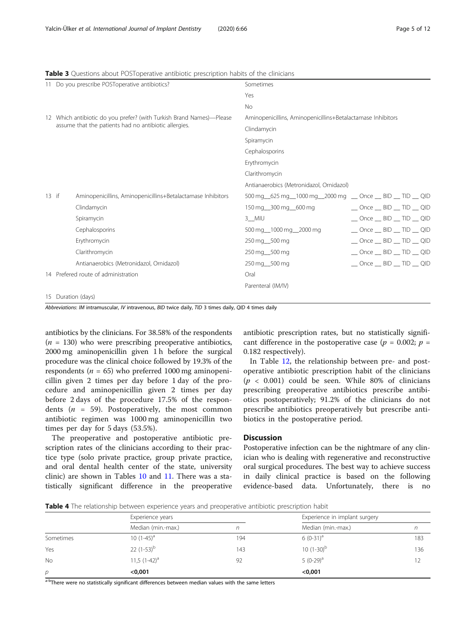<span id="page-4-0"></span>

| Table 3 Questions about POSToperative antibiotic prescription habits of the clinicians |  |  |  |  |
|----------------------------------------------------------------------------------------|--|--|--|--|
|                                                                                        |  |  |  |  |

|  | 11 Do you prescribe POSToperative antibiotics?                         | Sometimes                                                          |  |  |  |  |
|--|------------------------------------------------------------------------|--------------------------------------------------------------------|--|--|--|--|
|  |                                                                        | Yes                                                                |  |  |  |  |
|  |                                                                        | <b>No</b>                                                          |  |  |  |  |
|  | 12 Which antibiotic do you prefer? (with Turkish Brand Names)—Please   | Aminopenicillins, Aminopenicillins+Betalactamase Inhibitors        |  |  |  |  |
|  | assume that the patients had no antibiotic allergies.                  | Clindamycin                                                        |  |  |  |  |
|  |                                                                        | Spiramycin                                                         |  |  |  |  |
|  |                                                                        | Cephalosporins                                                     |  |  |  |  |
|  |                                                                        | Erythromycin                                                       |  |  |  |  |
|  |                                                                        | Clarithromycin                                                     |  |  |  |  |
|  |                                                                        | Antianaerobics (Metronidazol, Ornidazol)                           |  |  |  |  |
|  | $13$ if<br>Aminopenicillins, Aminopenicillins+Betalactamase Inhibitors | 500 mg 625 mg 1000 mg 2000 mg - Once BID TID QID                   |  |  |  |  |
|  | Clindamycin                                                            | $\_\$ Once $\_\$ BID $\_\$ TID $\_\$ QID<br>150 mg 300 mg 600 mg   |  |  |  |  |
|  | Spiramycin                                                             | $\_\$ Once $\_\$ BID $\_\$ TID $\_\$ QID<br>3_MIU                  |  |  |  |  |
|  | Cephalosporins                                                         | $\_\$ Once $\_\$ BID $\_\$ TID $\_\$ QID<br>500 mg 1000 mg 2000 mg |  |  |  |  |
|  | Erythromycin                                                           | $\_\$ Once $\_\$ BID $\_\$ TID $\_\$ QID<br>250 mg 500 mg          |  |  |  |  |
|  | Clarithromycin                                                         | $\_\$ Once $\_\$ BID $\_\$ TID $\_\$ QID<br>250 mg 500 mg          |  |  |  |  |
|  | Antianaerobics (Metronidazol, Ornidazol)                               | $\_\$ Once $\_\$ BID $\_\$ TID $\_\$ QID<br>250 mg 500 mg          |  |  |  |  |
|  | 14 Prefered route of administration                                    | Oral                                                               |  |  |  |  |
|  |                                                                        | Parenteral (IM/IV)                                                 |  |  |  |  |
|  | 15 Duration (days)                                                     |                                                                    |  |  |  |  |

Abbreviations: IM intramuscular, IV intravenous, BID twice daily, TID 3 times daily, QID 4 times daily

antibiotics by the clinicians. For 38.58% of the respondents  $(n = 130)$  who were prescribing preoperative antibiotics, 2000 mg aminopenicillin given 1 h before the surgical procedure was the clinical choice followed by 19.3% of the respondents ( $n = 65$ ) who preferred 1000 mg aminopenicillin given 2 times per day before 1 day of the procedure and aminopenicillin given 2 times per day before 2 days of the procedure 17.5% of the respondents ( $n = 59$ ). Postoperatively, the most common antibiotic regimen was 1000 mg aminopenicillin two times per day for 5 days (53.5%).

The preoperative and postoperative antibiotic prescription rates of the clinicians according to their practice type (solo private practice, group private practice, and oral dental health center of the state, university clinic) are shown in Tables [10](#page-7-0) and [11](#page-8-0). There was a statistically significant difference in the preoperative

antibiotic prescription rates, but no statistically significant difference in the postoperative case ( $p = 0.002$ ;  $p =$ 0.182 respectively).

In Table [12,](#page-8-0) the relationship between pre- and postoperative antibiotic prescription habit of the clinicians  $(p < 0.001)$  could be seen. While 80% of clinicians prescribing preoperative antibiotics prescribe antibiotics postoperatively; 91.2% of the clinicians do not prescribe antibiotics preoperatively but prescribe antibiotics in the postoperative period.

# **Discussion**

Postoperative infection can be the nightmare of any clinician who is dealing with regenerative and reconstructive oral surgical procedures. The best way to achieve success in daily clinical practice is based on the following evidence-based data. Unfortunately, there is no

|  | <b>Table 4</b> The relationship between experience vears and preoperative antibiotic prescription habit |  |  |  |
|--|---------------------------------------------------------------------------------------------------------|--|--|--|
|  |                                                                                                         |  |  |  |

|           | Experience years   |     | Experience in implant surgery |     |
|-----------|--------------------|-----|-------------------------------|-----|
|           | Median (min.-max.) |     | Median (min.-max.)            |     |
| Sometimes | 10 $(1-45)^a$      | 194 | $6(0-31)^a$                   | 183 |
| Yes       | 22 $(1-53)^{b}$    | 143 | 10 $(1-30)^{b}$               | 136 |
| <b>No</b> | $11.5(1-42)^a$     | 92  | $5(0-29)^a$                   | 12  |
| D         | < 0.001            |     | < 0.001                       |     |

a-bThere were no statistically significant differences between median values with the same letters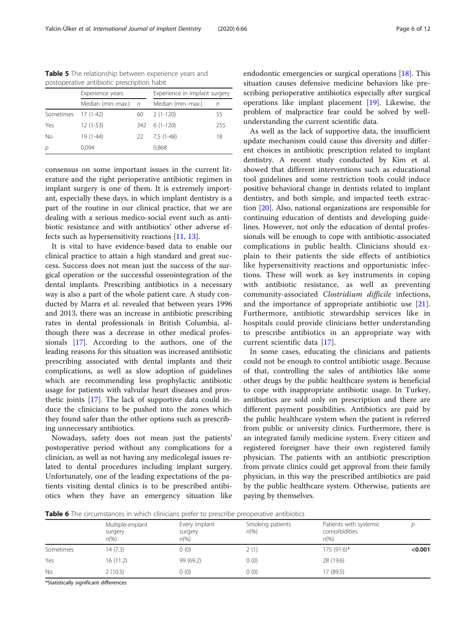<span id="page-5-0"></span>Table 5 The relationship between experience years and postoperative antibiotic prescription habit

|           | Experience years   |     | Experience in implant surgery |     |  |
|-----------|--------------------|-----|-------------------------------|-----|--|
|           | Median (min.-max.) | n   | Median (min.-max.)            | n   |  |
| Sometimes | $17(1-42)$         | 60  | $2(1-120)$                    | 55  |  |
| Yes       | $12(1-53)$         |     | 342 6 (1-120)                 | 255 |  |
| Nο        | $19(1-44)$         | 22. | 7.5 (1-48)                    | 18  |  |
|           | 0.094              |     | 0,868                         |     |  |

consensus on some important issues in the current literature and the right perioperative antibiotic regimen in implant surgery is one of them. It is extremely important, especially these days, in which implant dentistry is a part of the routine in our clinical practice, that we are dealing with a serious medico-social event such as antibiotic resistance and with antibiotics' other adverse effects such as hypersensitivity reactions [\[11](#page-10-0), [13](#page-10-0)].

It is vital to have evidence-based data to enable our clinical practice to attain a high standard and great success. Success does not mean just the success of the surgical operation or the successful osseointegration of the dental implants. Prescribing antibiotics in a necessary way is also a part of the whole patient care. A study conducted by Marra et al. revealed that between years 1996 and 2013, there was an increase in antibiotic prescribing rates in dental professionals in British Columbia, although there was a decrease in other medical professionals [\[17](#page-10-0)]. According to the authors, one of the leading reasons for this situation was increased antibiotic prescribing associated with dental implants and their complications, as well as slow adoption of guidelines which are recommending less prophylactic antibiotic usage for patients with valvular heart diseases and prosthetic joints [\[17](#page-10-0)]. The lack of supportive data could induce the clinicians to be pushed into the zones which they found safer than the other options such as prescribing unnecessary antibiotics.

Nowadays, safety does not mean just the patients' postoperative period without any complications for a clinician, as well as not having any medicolegal issues related to dental procedures including implant surgery. Unfortunately, one of the leading expectations of the patients visiting dental clinics is to be prescribed antibiotics when they have an emergency situation like endodontic emergencies or surgical operations [\[18](#page-10-0)]. This situation causes defensive medicine behaviors like prescribing perioperative antibiotics especially after surgical operations like implant placement [[19\]](#page-10-0). Likewise, the problem of malpractice fear could be solved by wellunderstanding the current scientific data.

As well as the lack of supportive data, the insufficient update mechanism could cause this diversity and different choices in antibiotic prescription related to implant dentistry. A recent study conducted by Kim et al. showed that different interventions such as educational tool guidelines and some restriction tools could induce positive behavioral change in dentists related to implant dentistry, and both simple, and impacted teeth extraction [\[20\]](#page-10-0). Also, national organizations are responsible for continuing education of dentists and developing guidelines. However, not only the education of dental professionals will be enough to cope with antibiotic-associated complications in public health. Clinicians should explain to their patients the side effects of antibiotics like hypersensitivity reactions and opportunistic infections. These will work as key instruments in coping with antibiotic resistance, as well as preventing community-associated Clostridium difficile infections, and the importance of appropriate antibiotic use [\[21](#page-10-0)]. Furthermore, antibiotic stewardship services like in hospitals could provide clinicians better understanding to prescribe antibiotics in an appropriate way with current scientific data [[17\]](#page-10-0).

In some cases, educating the clinicians and patients could not be enough to control antibiotic usage. Because of that, controlling the sales of antibiotics like some other drugs by the public healthcare system is beneficial to cope with inappropriate antibiotic usage. In Turkey, antibiotics are sold only on prescription and there are different payment possibilities. Antibiotics are paid by the public healthcare system when the patient is referred from public or university clinics. Furthermore, there is an integrated family medicine system. Every citizen and registered foreigner have their own registered family physician. The patients with an antibiotic prescription from private clinics could get approval from their family physician, in this way the prescribed antibiotics are paid by the public healthcare system. Otherwise, patients are paying by themselves.

Table 6 The circumstances in which clinicians prefer to prescribe preoperative antibiotics

|           | Multiple-implant<br>surgery<br>$n\left(\%\right)$ | Every implant<br>surgery<br>$n\%$ | Smoking patients<br>$n\left(\%\right)$ | Patients with systemic<br>comorbidities<br>$n\%$ |         |
|-----------|---------------------------------------------------|-----------------------------------|----------------------------------------|--------------------------------------------------|---------|
| Sometimes | 14(7.3)                                           | 0(0)                              | 2(1)                                   | $175(91.6)^{*}$                                  | < 0.001 |
| Yes       | 16(11.2)                                          | 99 (69.2)                         | 0(0)                                   | 28 (19.6)                                        |         |
| No        | 2(10.5)                                           | 0(0)                              | 0(0)                                   | 17 (89.5)                                        |         |

\*Statistically significant differences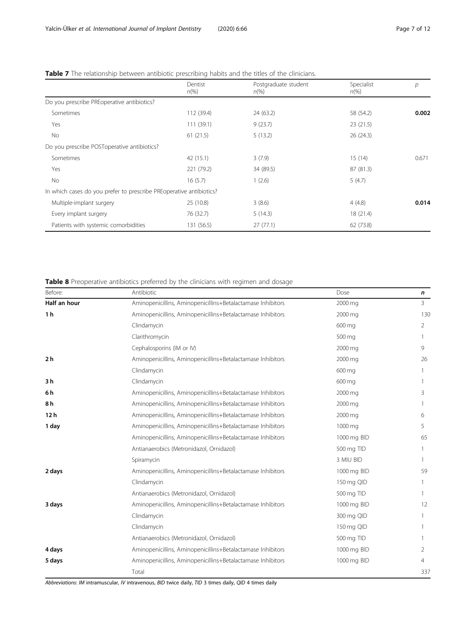|                                                                     | Dentist<br>$n\%$ | Postgraduate student<br>$n\%$ | Specialist<br>$n\%$ | р     |
|---------------------------------------------------------------------|------------------|-------------------------------|---------------------|-------|
| Do you prescribe PREoperative antibiotics?                          |                  |                               |                     |       |
| Sometimes                                                           | 112 (39.4)       | 24(63.2)                      | 58 (54.2)           | 0.002 |
| Yes                                                                 | 111(39.1)        | 9(23.7)                       | 23(21.5)            |       |
| No.                                                                 | 61(21.5)         | 5(13.2)                       | 26(24.3)            |       |
| Do you prescribe POSToperative antibiotics?                         |                  |                               |                     |       |
| Sometimes                                                           | 42(15.1)         | 3(7.9)                        | 15(14)              | 0.671 |
| Yes                                                                 | 221 (79.2)       | 34 (89.5)                     | 87 (81.3)           |       |
| No                                                                  | 16(5.7)          | 1(2.6)                        | 5(4.7)              |       |
| In which cases do you prefer to prescribe PREoperative antibiotics? |                  |                               |                     |       |
| Multiple-implant surgery                                            | 25 (10.8)        | 3(8.6)                        | 4(4.8)              | 0.014 |
| Every implant surgery                                               | 76 (32.7)        | 5(14.3)                       | 18(21.4)            |       |
| Patients with systemic comorbidities                                | 131 (56.5)       | 27(77.1)                      | 62 (73.8)           |       |

# <span id="page-6-0"></span>Table 7 The relationship between antibiotic prescribing habits and the titles of the clinicians.

Table 8 Preoperative antibiotics preferred by the clinicians with regimen and dosage

| Before:        | Antibiotic                                                  | Dose        | n              |
|----------------|-------------------------------------------------------------|-------------|----------------|
| Half an hour   | Aminopenicillins, Aminopenicillins+Betalactamase Inhibitors | 2000 mg     | 3              |
| 1 <sub>h</sub> | Aminopenicillins, Aminopenicillins+Betalactamase Inhibitors | 2000 mg     | 13C            |
|                | Clindamycin                                                 | 600 mg      | $\overline{2}$ |
|                | Clarithromycin                                              | 500 mg      |                |
|                | Cephalosporins (IM or IV)                                   | 2000 mg     | 9              |
| 2 <sub>h</sub> | Aminopenicillins, Aminopenicillins+Betalactamase Inhibitors | 2000 mg     | 26             |
|                | Clindamycin                                                 | 600 mg      |                |
| 3 h            | Clindamycin                                                 | 600 mg      |                |
| 6 h            | Aminopenicillins, Aminopenicillins+Betalactamase Inhibitors | 2000 mg     | 3              |
| 8 h            | Aminopenicillins, Aminopenicillins+Betalactamase Inhibitors | 2000 mg     |                |
| 12h            | Aminopenicillins, Aminopenicillins+Betalactamase Inhibitors | 2000 mg     | 6              |
| 1 day          | Aminopenicillins, Aminopenicillins+Betalactamase Inhibitors | 1000 mg     | 5              |
|                | Aminopenicillins, Aminopenicillins+Betalactamase Inhibitors | 1000 mg BID | 65             |
|                | Antianaerobics (Metronidazol, Ornidazol)                    | 500 mg TID  | 1              |
|                | Spiramycin                                                  | 3 MIU BID   |                |
| 2 days         | Aminopenicillins, Aminopenicillins+Betalactamase Inhibitors | 1000 mg BID | 59             |
|                | Clindamycin                                                 | 150 mg QID  |                |
|                | Antianaerobics (Metronidazol, Ornidazol)                    | 500 mg TID  |                |
| 3 days         | Aminopenicillins, Aminopenicillins+Betalactamase Inhibitors | 1000 mg BID | 12             |
|                | Clindamycin                                                 | 300 mg QID  |                |
|                | Clindamycin                                                 | 150 mg QID  |                |
|                | Antianaerobics (Metronidazol, Ornidazol)                    | 500 mg TID  |                |
| 4 days         | Aminopenicillins, Aminopenicillins+Betalactamase Inhibitors | 1000 mg BID | 2              |
| 5 days         | Aminopenicillins, Aminopenicillins+Betalactamase Inhibitors | 1000 mg BID | 4              |
|                | Total                                                       |             | 337            |

Abbreviations: IM intramuscular, IV intravenous, BID twice daily, TID 3 times daily, QID 4 times daily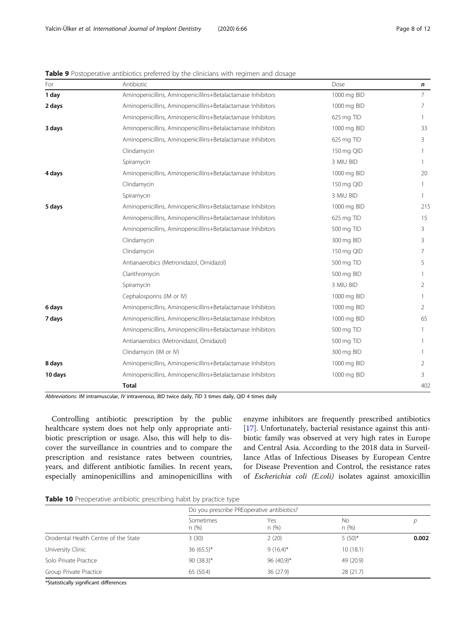| For     | Antibiotic                                                  | Dose        | n              |
|---------|-------------------------------------------------------------|-------------|----------------|
| 1 day   | Aminopenicillins, Aminopenicillins+Betalactamase Inhibitors | 1000 mg BID | $\overline{7}$ |
| 2 days  | Aminopenicillins, Aminopenicillins+Betalactamase Inhibitors | 1000 mg BID | 7              |
|         | Aminopenicillins, Aminopenicillins+Betalactamase Inhibitors | 625 mg TID  | 1              |
| 3 days  | Aminopenicillins, Aminopenicillins+Betalactamase Inhibitors | 1000 mg BID | 33             |
|         | Aminopenicillins, Aminopenicillins+Betalactamase Inhibitors | 625 mg TID  | 3              |
|         | Clindamycin                                                 | 150 mg QID  | 1              |
|         | Spiramycin                                                  | 3 MIU BID   | $\mathbf{1}$   |
| 4 days  | Aminopenicillins, Aminopenicillins+Betalactamase Inhibitors | 1000 mg BID | 20             |
|         | Clindamycin                                                 | 150 mg QID  | $\mathbf{1}$   |
|         | Spiramycin                                                  | 3 MIU BID   | $\mathbf{1}$   |
| 5 days  | Aminopenicillins, Aminopenicillins+Betalactamase Inhibitors | 1000 mg BID | 215            |
|         | Aminopenicillins, Aminopenicillins+Betalactamase Inhibitors | 625 mg TID  | 15             |
|         | Aminopenicillins, Aminopenicillins+Betalactamase Inhibitors | 500 mg TID  | 3              |
|         | Clindamycin                                                 | 300 mg BID  | 3              |
|         | Clindamycin                                                 | 150 mg QID  | 7              |
|         | Antianaerobics (Metronidazol, Ornidazol)                    | 500 mg TID  | 5              |
|         | Clarithromycin                                              | 500 mg BID  |                |
|         | Spiramycin                                                  | 3 MIU BID   | 2              |
|         | Cephalosporins (IM or IV)                                   | 1000 mg BID | 1              |
| 6 days  | Aminopenicillins, Aminopenicillins+Betalactamase Inhibitors | 1000 mg BID | 2              |
| 7 days  | Aminopenicillins, Aminopenicillins+Betalactamase Inhibitors | 1000 mg BID | 65             |
|         | Aminopenicillins, Aminopenicillins+Betalactamase Inhibitors | 500 mg TID  | 1              |
|         | Antianaerobics (Metronidazol, Ornidazol)                    | 500 mg TID  | 1              |
|         | Clindamycin (IM or IV)                                      | 300 mg BID  |                |
| 8 days  | Aminopenicillins, Aminopenicillins+Betalactamase Inhibitors | 1000 mg BID | 2              |
| 10 days | Aminopenicillins, Aminopenicillins+Betalactamase Inhibitors | 1000 mg BID | 3              |
|         | Total                                                       |             | 402            |

<span id="page-7-0"></span>Table 9 Postoperative antibiotics preferred by the clinicians with regimen and dosage

Abbreviations: IM intramuscular, IV intravenous, BID twice daily, TID 3 times daily, QID 4 times daily

Controlling antibiotic prescription by the public healthcare system does not help only appropriate antibiotic prescription or usage. Also, this will help to discover the surveillance in countries and to compare the prescription and resistance rates between countries, years, and different antibiotic families. In recent years, especially aminopenicillins and aminopenicillins with enzyme inhibitors are frequently prescribed antibiotics [[17\]](#page-10-0). Unfortunately, bacterial resistance against this antibiotic family was observed at very high rates in Europe and Central Asia. According to the 2018 data in Surveillance Atlas of Infectious Diseases by European Centre for Disease Prevention and Control, the resistance rates of Escherichia coli (E.coli) isolates against amoxicillin

Table 10 Preoperative antibiotic prescribing habit by practice type

|                                      | Do you prescribe PREoperative antibiotics? |               |            |       |
|--------------------------------------|--------------------------------------------|---------------|------------|-------|
|                                      | Sometimes<br>n(%)                          | Yes<br>n(%)   | No<br>n(%) |       |
| Orodental Health Centre of the State | 3(30)                                      | 2(20)         | $5(50)*$   | 0.002 |
| University Clinic                    | 36 $(65.5)^*$                              | $9(16.4)^{*}$ | 10(18.1)   |       |
| Solo Private Practice                | 90 (38.3)*                                 | 96 (40,9)*    | 49 (20.9)  |       |
| Group Private Practice               | 65 (50.4)                                  | 36 (27.9)     | 28(21.7)   |       |

\*Statistically significant differences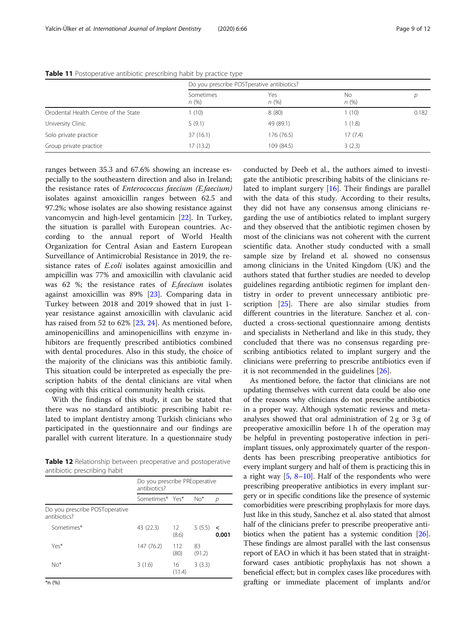|                                      | Do you prescribe POSTperative antibiotics? |             |            |       |  |
|--------------------------------------|--------------------------------------------|-------------|------------|-------|--|
|                                      | Sometimes<br>n(%)                          | Yes<br>n(%) | No<br>n(%) |       |  |
| Orodental Health Centre of the State | 1(10)                                      | 8(80)       | 1(10)      | 0.182 |  |
| University Clinic                    | 5(9.1)                                     | 49 (89.1)   | 1(1.8)     |       |  |
| Solo private practice                | 37(16.1)                                   | 176 (76.5)  | 17(7.4)    |       |  |
| Group private practice               | 17 (13.2)                                  | 109 (84.5)  | 3(2.3)     |       |  |

<span id="page-8-0"></span>Table 11 Postoperative antibiotic prescribing habit by practice type

ranges between 35.3 and 67.6% showing an increase especially to the southeastern direction and also in Ireland; the resistance rates of Enterococcus faecium (E.faecium) isolates against amoxicillin ranges between 62.5 and 97.2%; whose isolates are also showing resistance against vancomycin and high-level gentamicin [\[22](#page-10-0)]. In Turkey, the situation is parallel with European countries. According to the annual report of World Health Organization for Central Asian and Eastern European Surveillance of Antimicrobial Resistance in 2019, the resistance rates of E.coli isolates against amoxicillin and ampicillin was 77% and amoxicillin with clavulanic acid was 62 %; the resistance rates of E.faecium isolates against amoxicillin was 89% [[23](#page-10-0)]. Comparing data in Turkey between 2018 and 2019 showed that in just 1 year resistance against amoxicillin with clavulanic acid has raised from 52 to 62% [[23](#page-10-0), [24](#page-10-0)]. As mentioned before, aminopenicillins and aminopenicillins with enzyme inhibitors are frequently prescribed antibiotics combined with dental procedures. Also in this study, the choice of the majority of the clinicians was this antibiotic family. This situation could be interpreted as especially the prescription habits of the dental clinicians are vital when coping with this critical community health crisis.

With the findings of this study, it can be stated that there was no standard antibiotic prescribing habit related to implant dentistry among Turkish clinicians who participated in the questionnaire and our findings are parallel with current literature. In a questionnaire study

Table 12 Relationship between preoperative and postoperative antibiotic prescribing habit

|                                                | Do you prescribe PREoperative<br>antibiotics? |              |              |                  |
|------------------------------------------------|-----------------------------------------------|--------------|--------------|------------------|
|                                                | Sometimes* Yes*                               |              | $No*$        | D                |
| Do you prescribe POSToperative<br>antibiotics? |                                               |              |              |                  |
| Sometimes*                                     | 43 (22.3)                                     | 12<br>(8.6)  | 5(5.5)       | $\,<\,$<br>0.001 |
| Yes*                                           | 147 (76.2)                                    | 112<br>(80)  | 83<br>(91.2) |                  |
| $No*$                                          | 3(1.6)                                        | 16<br>(11.4) | 3(3.3)       |                  |

conducted by Deeb et al., the authors aimed to investigate the antibiotic prescribing habits of the clinicians related to implant surgery [[16\]](#page-10-0). Their findings are parallel with the data of this study. According to their results, they did not have any consensus among clinicians regarding the use of antibiotics related to implant surgery and they observed that the antibiotic regimen chosen by most of the clinicians was not coherent with the current scientific data. Another study conducted with a small sample size by Ireland et al. showed no consensus among clinicians in the United Kingdom (UK) and the authors stated that further studies are needed to develop guidelines regarding antibiotic regimen for implant dentistry in order to prevent unnecessary antibiotic prescription [\[25\]](#page-10-0). There are also similar studies from different countries in the literature. Sanchez et al. conducted a cross-sectional questionnaire among dentists and specialists in Netherland and like in this study, they concluded that there was no consensus regarding prescribing antibiotics related to implant surgery and the clinicians were preferring to prescribe antibiotics even if it is not recommended in the guidelines [[26](#page-10-0)].

As mentioned before, the factor that clinicians are not updating themselves with current data could be also one of the reasons why clinicians do not prescribe antibiotics in a proper way. Although systematic reviews and metaanalyses showed that oral administration of 2 g or 3 g of preoperative amoxicillin before 1 h of the operation may be helpful in preventing postoperative infection in periimplant tissues, only approximately quarter of the respondents has been prescribing preoperative antibiotics for every implant surgery and half of them is practicing this in a right way  $[5, 8-10]$  $[5, 8-10]$  $[5, 8-10]$  $[5, 8-10]$  $[5, 8-10]$  $[5, 8-10]$ . Half of the respondents who were prescribing preoperative antibiotics in every implant surgery or in specific conditions like the presence of systemic comorbidities were prescribing prophylaxis for more days. Just like in this study, Sanchez et al. also stated that almost half of the clinicians prefer to prescribe preoperative antibiotics when the patient has a systemic condition [[26](#page-10-0)]. These findings are almost parallel with the last consensus report of EAO in which it has been stated that in straightforward cases antibiotic prophylaxis has not shown a beneficial effect; but in complex cases like procedures with grafting or immediate placement of implants and/or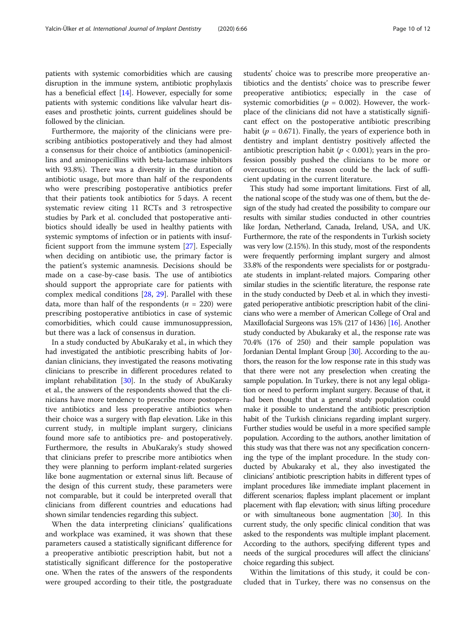patients with systemic comorbidities which are causing disruption in the immune system, antibiotic prophylaxis has a beneficial effect [\[14\]](#page-10-0). However, especially for some patients with systemic conditions like valvular heart diseases and prosthetic joints, current guidelines should be followed by the clinician.

Furthermore, the majority of the clinicians were prescribing antibiotics postoperatively and they had almost a consensus for their choice of antibiotics (aminopenicillins and aminopenicillins with beta-lactamase inhibitors with 93.8%). There was a diversity in the duration of antibiotic usage, but more than half of the respondents who were prescribing postoperative antibiotics prefer that their patients took antibiotics for 5 days. A recent systematic review citing 11 RCTs and 3 retrospective studies by Park et al. concluded that postoperative antibiotics should ideally be used in healthy patients with systemic symptoms of infection or in patients with insufficient support from the immune system [\[27\]](#page-10-0). Especially when deciding on antibiotic use, the primary factor is the patient's systemic anamnesis. Decisions should be made on a case-by-case basis. The use of antibiotics should support the appropriate care for patients with complex medical conditions [[28,](#page-10-0) [29](#page-10-0)]. Parallel with these data, more than half of the respondents ( $n = 220$ ) were prescribing postoperative antibiotics in case of systemic comorbidities, which could cause immunosuppression, but there was a lack of consensus in duration.

In a study conducted by AbuKaraky et al., in which they had investigated the antibiotic prescribing habits of Jordanian clinicians, they investigated the reasons motivating clinicians to prescribe in different procedures related to implant rehabilitation [\[30\]](#page-11-0). In the study of AbuKaraky et al., the answers of the respondents showed that the clinicians have more tendency to prescribe more postoperative antibiotics and less preoperative antibiotics when their choice was a surgery with flap elevation. Like in this current study, in multiple implant surgery, clinicians found more safe to antibiotics pre- and postoperatively. Furthermore, the results in AbuKaraky's study showed that clinicians prefer to prescribe more antibiotics when they were planning to perform implant-related surgeries like bone augmentation or external sinus lift. Because of the design of this current study, these parameters were not comparable, but it could be interpreted overall that clinicians from different countries and educations had shown similar tendencies regarding this subject.

When the data interpreting clinicians' qualifications and workplace was examined, it was shown that these parameters caused a statistically significant difference for a preoperative antibiotic prescription habit, but not a statistically significant difference for the postoperative one. When the rates of the answers of the respondents were grouped according to their title, the postgraduate students' choice was to prescribe more preoperative antibiotics and the dentists' choice was to prescribe fewer preoperative antibiotics; especially in the case of systemic comorbidities ( $p = 0.002$ ). However, the workplace of the clinicians did not have a statistically significant effect on the postoperative antibiotic prescribing habit ( $p = 0.671$ ). Finally, the years of experience both in dentistry and implant dentistry positively affected the antibiotic prescription habit ( $p < 0.001$ ); years in the profession possibly pushed the clinicians to be more or overcautious; or the reason could be the lack of sufficient updating in the current literature.

This study had some important limitations. First of all, the national scope of the study was one of them, but the design of the study had created the possibility to compare our results with similar studies conducted in other countries like Jordan, Netherland, Canada, Ireland, USA, and UK. Furthermore, the rate of the respondents in Turkish society was very low (2.15%). In this study, most of the respondents were frequently performing implant surgery and almost 33.8% of the respondents were specialists for or postgraduate students in implant-related majors. Comparing other similar studies in the scientific literature, the response rate in the study conducted by Deeb et al. in which they investigated perioperative antibiotic prescription habit of the clinicians who were a member of American College of Oral and Maxillofacial Surgeons was 15% (217 of 1436) [[16](#page-10-0)]. Another study conducted by Abukaraky et al., the response rate was 70.4% (176 of 250) and their sample population was Jordanian Dental Implant Group [\[30](#page-11-0)]. According to the authors, the reason for the low response rate in this study was that there were not any preselection when creating the sample population. In Turkey, there is not any legal obligation or need to perform implant surgery. Because of that, it had been thought that a general study population could make it possible to understand the antibiotic prescription habit of the Turkish clinicians regarding implant surgery. Further studies would be useful in a more specified sample population. According to the authors, another limitation of this study was that there was not any specification concerning the type of the implant procedure. In the study conducted by Abukaraky et al., they also investigated the clinicians' antibiotic prescription habits in different types of implant procedures like immediate implant placement in different scenarios; flapless implant placement or implant placement with flap elevation; with sinus lifting procedure or with simultaneous bone augmentation [\[30\]](#page-11-0). In this current study, the only specific clinical condition that was asked to the respondents was multiple implant placement. According to the authors, specifying different types and needs of the surgical procedures will affect the clinicians' choice regarding this subject.

Within the limitations of this study, it could be concluded that in Turkey, there was no consensus on the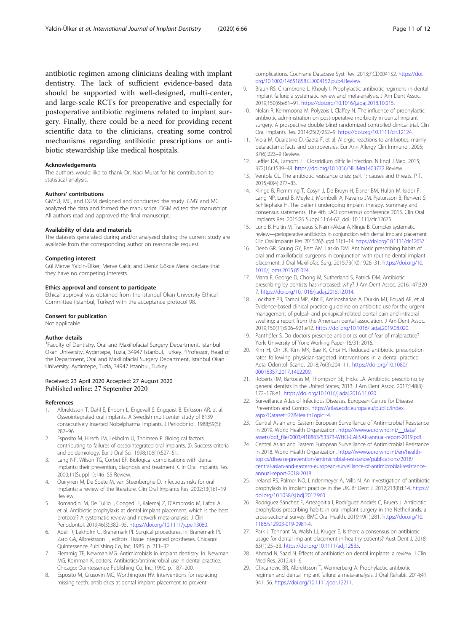<span id="page-10-0"></span>antibiotic regimen among clinicians dealing with implant dentistry. The lack of sufficient evidence-based data should be supported with well-designed, multi-center, and large-scale RCTs for preoperative and especially for postoperative antibiotic regimens related to implant surgery. Finally, there could be a need for providing recent scientific data to the clinicians, creating some control mechanisms regarding antibiotic prescriptions or antibiotic stewardship like medical hospitals.

#### Acknowledgements

The authors would like to thank Dr. Naci Murat for his contribution to statistical analysis.

#### Authors' contributions

GMYÜ, MC, and DGM designed and conducted the study. GMY and MC analyzed the data and formed the manuscript. DGM edited the manuscript. All authors read and approved the final manuscript.

#### Availability of data and materials

The datasets generated during and/or analyzed during the current study are available from the corresponding author on reasonable request.

#### Competing interest

Gül Merve Yalcin-Ülker, Merve Cakir, and Deniz Gökce Meral declare that they have no competing interests.

#### Ethics approval and consent to participate

Ethical approval was obtained from the Istanbul Okan University Ethical Committee (Istanbul, Turkey) with the acceptance protocol 98.

#### Consent for publication

Not applicable.

#### Author details

<sup>1</sup> Faculty of Dentistry, Oral and Maxillofacial Surgery Department, Istanbul Okan University, Aydıntepe, Tuzla, 34947 Istanbul, Turkey. <sup>2</sup>Professor, Head of the Department, Oral and Maxillofacial Surgery Department, Istanbul Okan University, Aydıntepe, Tuzla, 34947 Istanbul, Turkey.

### Received: 23 April 2020 Accepted: 27 August 2020 Published online: 27 September 2020

#### References

- 1. Albrektsson T, Dahl E, Enbom L, Engevall S, Engquist B, Eriksson AR, et al. Osseointegrated oral implants. A Swedish multicenter study of 8139 consecutively inserted Nobelpharma implants. J Periodontol. 1988;59(5): 287–96.
- 2. Esposito M, Hirsch JM, Lekholm U, Thomsen P. Biological factors contributing to failures of osseointegrated oral implants. (I). Success criteria and epidemiology. Eur J Oral Sci. 1998;106(1):527–51.
- 3. Lang NP, Wilson TG, Corbet EF. Biological complications with dental implants: their prevention, diagnosis and treatment. Clin Oral Implants Res. 2000;11(Suppl 1):146–55 Review.
- 4. Quirynen M, De Soete M, van Steenberghe D. Infectious risks for oral implants: a review of the literature. Clin Oral Implants Res. 2002;13(1):1–19 Review.
- 5. Romandini M, De Tullio I, Congedi F, Kalemaj Z, D'Ambrosio M, Laforí A, et al. Antibiotic prophylaxis at dental implant placement: which is the best protocol? A systematic review and network meta-analysis. J Clin Periodontol. 2019;46(3):382–95. <https://doi.org/10.1111/jcpe.13080>.
- 6. Adell R, Lekholm U, Branemark PI. Surgical procedures. In: Branemark PI, Zarb GA, Albrektsson T, editors. Tissue integrated prostheses. Chicago: Quintessence Publishing Co, Inc; 1985. p. 211–32.
- 7. Flemmig TF, Newman MG. Antimicrobials in implant dentistry. In: Newman MG, Kornman K, editors. Antibiotics/antimicrobial use in dental practice. Chicago: Quintessence Publishing Co, Inc; 1990. p. 187–200.
- 8. Esposito M, Grusovin MG, Worthington HV. Interventions for replacing missing teeth: antibiotics at dental implant placement to prevent

complications. Cochrane Database Syst Rev. 2013;7:CD004152. [https://doi.](https://doi.org/10.1002/14651858.CD004152.pub4.Review) [org/10.1002/14651858.CD004152.pub4.Review.](https://doi.org/10.1002/14651858.CD004152.pub4.Review)

- 9. Braun RS, Chambrone L, Khouly I. Prophylactic antibiotic regimens in dental implant failure: a systematic review and meta-analysis. J Am Dent Assoc. 2019;150(6):e61–91. [https://doi.org/10.1016/j.adaj.2018.10.015.](https://doi.org/10.1016/j.adaj.2018.10.015)
- 10. Nolan R, Kemmoona M, Polyzois I, Claffey N. The influence of prophylactic antibiotic administration on post-operative morbidity in dental implant surgery. A prospective double blind randomized controlled clinical trial. Clin Oral Implants Res. 2014;25(2):252–9. <https://doi.org/10.1111/clr.12124>.
- 11. Viola M, Quaratino D, Gaeta F, et al. Allergic reactions to antibiotics, mainly betalactams: facts and controversies. Eur Ann Allergy Clin Immunol. 2005; 37(6):223–9 Review.
- 12. Leffler DA, Lamont JT. Clostridium difficile infection. N Engl J Med. 2015; 372(16):1539–48. <https://doi.org/10.1056/NEJMra1403772> Review.
- 13. Ventola CL. The antibiotic resistance crisis: part 1: causes and threats. P T. 2015;40(4):277–83.
- 14. Klinge B, Flemming T, Cosyn J, De Bruyn H, Eisner BM, Hultin M, Isidor F, Lang NP, Lund B, Meyle J, Mombelli A, Navarro JM, Pjetursson B, Renvert S, Schliephake H. The patient undergoing implant therapy. Summary and consensus statements. The 4th EAO consensus conference 2015. Clin Oral Implants Res. 2015;26 Suppl 11:64-67. doi: 10.1111/clr.12675.
- 15. Lund B, Hultin M, Tranaeus S, Naimi-Akbar A, Klinge B. Complex systematic review—perioperative antibiotics in conjunction with dental implant placement. Clin Oral Implants Res. 2015;26(Suppl 11):1–14. <https://doi.org/10.1111/clr.12637>.
- 16. Deeb GR, Soung GY, Best AM, Laskin DM. Antibiotic prescribing habits of oral and maxillofacial surgeons in conjunction with routine dental implant placement. J Oral Maxillofac Surg. 2015;73(10):1926–31. [https://doi.org/10.](https://doi.org/10.1016/j.joms.2015.05.024) [1016/j.joms.2015.05.024](https://doi.org/10.1016/j.joms.2015.05.024).
- 17. Marra F, George D, Chong M, Sutherland S, Patrick DM. Antibiotic prescribing by dentists has increased: why? J Am Dent Assoc. 2016;147:320– 7. <https://doi.org/10.1016/j.adaj.2015.12.014>.
- 18. Lockhart PB, Tampi MP, Abt E, Aminoshariae A, Durkin MJ, Fouad AF, et al. Evidence-based clinical practice guideline on antibiotic use for the urgent management of pulpal- and periapical-related dental pain and intraoral swelling: a report from the American dental association. J Am Dent Assoc. 2019;150(11):906–921.e12. <https://doi.org/10.1016/j.adaj.2019.08.020>.
- 19. Panthöfer S. Do doctors prescribe antibiotics out of fear of malpractice? York: University of York; Working Paper 16/31; 2016.
- 20. Kim H, Oh JK, Kim MK, Bae K, Choi H. Reduced antibiotic prescription rates following physician-targeted interventions in a dental practice. Acta Odontol Scand. 2018;76(3):204–11. [https://doi.org/10.1080/](https://doi.org/10.1080/00016357.2017.1402209) [00016357.2017.1402209.](https://doi.org/10.1080/00016357.2017.1402209)
- 21. Roberts RM, Bartoces M, Thompson SE, Hicks LA. Antibiotic prescribing by general dentists in the United States, 2013. J Am Dent Assoc. 2017;148(3): 172–178.e1. <https://doi.org/10.1016/j.adaj.2016.11.020>.
- 22. Surveillance Atlas of Infectious Diseases. European Centre for Disease Prevention and Control. [https://atlas.ecdc.europa.eu/public/index.](https://atlas.ecdc.europa.eu/public/index.aspx?Dataset=27&HealthTopic=4) [aspx?Dataset=27&HealthTopic=4.](https://atlas.ecdc.europa.eu/public/index.aspx?Dataset=27&HealthTopic=4)
- 23. Central Asian and Eastern European Surveillance of Antimicrobial Resistance in 2019. World Health Organization. [https://www.euro.who.int/\\_\\_data/](https://www.euro.who.int/__data/assets/pdf_file/0003/418863/53373-WHO-CAESAR-annual-report-2019.pdf) [assets/pdf\\_file/0003/418863/53373-WHO-CAESAR-annual-report-2019.pdf](https://www.euro.who.int/__data/assets/pdf_file/0003/418863/53373-WHO-CAESAR-annual-report-2019.pdf).
- 24. Central Asian and Eastern European Surveillance of Antimicrobial Resistance in 2018. World Health Organization. [https://www.euro.who.int/en/health](https://www.euro.who.int/en/health-topics/disease-prevention/antimicrobial-resistance/publications/2018/central-asian-and-eastern-european-surveillance-of-antimicrobial-resistance-annual-report-2018-2018)[topics/disease-prevention/antimicrobial-resistance/publications/2018/](https://www.euro.who.int/en/health-topics/disease-prevention/antimicrobial-resistance/publications/2018/central-asian-and-eastern-european-surveillance-of-antimicrobial-resistance-annual-report-2018-2018) [central-asian-and-eastern-european-surveillance-of-antimicrobial-resistance](https://www.euro.who.int/en/health-topics/disease-prevention/antimicrobial-resistance/publications/2018/central-asian-and-eastern-european-surveillance-of-antimicrobial-resistance-annual-report-2018-2018)[annual-report-2018-2018.](https://www.euro.who.int/en/health-topics/disease-prevention/antimicrobial-resistance/publications/2018/central-asian-and-eastern-european-surveillance-of-antimicrobial-resistance-annual-report-2018-2018)
- 25. Ireland RS, Palmer NO, Lindenmeyer A, Mills N. An investigation of antibiotic prophylaxis in implant practice in the UK. Br Dent J. 2012;213(8):E14. [https://](https://doi.org/10.1038/sj.bdj.2012.960) [doi.org/10.1038/sj.bdj.2012.960](https://doi.org/10.1038/sj.bdj.2012.960).
- 26. Rodríguez Sánchez F, Arteagoitia I, Rodríguez Andrés C, Bruers J. Antibiotic prophylaxis prescribing habits in oral implant surgery in the Netherlands: a cross-sectional survey. BMC Oral Health. 2019;19(1):281. [https://doi.org/10.](https://doi.org/10.1186/s12903-019-0981-4) [1186/s12903-019-0981-4](https://doi.org/10.1186/s12903-019-0981-4).
- 27. Park J, Tennant M, Walsh LJ, Kruger E. Is there a consensus on antibiotic usage for dental implant placement in healthy patients? Aust Dent J. 2018; 63(1):25–33. <https://doi.org/10.1111/adj.12535>.
- 28. Ahmad N, Saad N. Effects of antibiotics on dental implants: a review. J Clin Med Res. 2012;4:1–6.
- 29. Chrcanovic BR, Albrektsson T, Wennerberg A. Prophylactic antibiotic regimen and dental implant failure: a meta-analysis. J Oral Rehabil. 2014;41: 941–56. <https://doi.org/10.1111/joor.12211>.